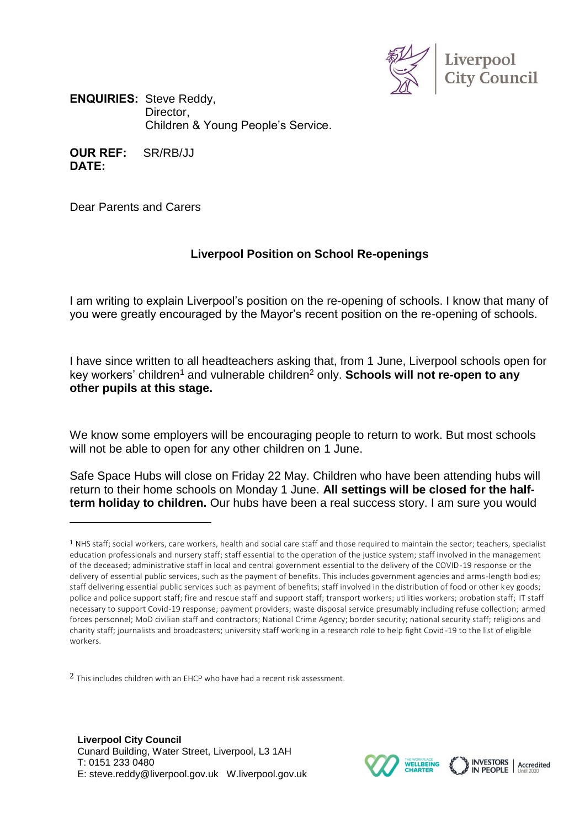

**ENQUIRIES:** Steve Reddy, Director, Children & Young People's Service.

**OUR REF:** SR/RB/JJ **DATE:**

Dear Parents and Carers

 $\overline{a}$ 

## **Liverpool Position on School Re-openings**

I am writing to explain Liverpool's position on the re-opening of schools. I know that many of you were greatly encouraged by the Mayor's recent position on the re-opening of schools.

I have since written to all headteachers asking that, from 1 June, Liverpool schools open for key workers' children<sup>1</sup> and vulnerable children<sup>2</sup> only. **Schools will not re-open to any other pupils at this stage.**

We know some employers will be encouraging people to return to work. But most schools will not be able to open for any other children on 1 June.

Safe Space Hubs will close on Friday 22 May. Children who have been attending hubs will return to their home schools on Monday 1 June. **All settings will be closed for the halfterm holiday to children.** Our hubs have been a real success story. I am sure you would

<sup>2</sup> This includes children with an EHCP who have had a recent risk assessment.



 $1$  NHS staff; social workers, care workers, health and social care staff and those required to maintain the sector; teachers, specialist education professionals and nursery staff; staff essential to the operation of the justice system; staff involved in the management of the deceased; administrative staff in local and central government essential to the delivery of the COVID-19 response or the delivery of essential public services, such as the payment of benefits. This includes government agencies and arms-length bodies; staff delivering essential public services such as payment of benefits; staff involved in the distribution of food or other key goods; police and police support staff; fire and rescue staff and support staff; transport workers; utilities workers; probation staff; IT staff necessary to support Covid-19 response; payment providers; waste disposal service presumably including refuse collection; armed forces personnel; MoD civilian staff and contractors; National Crime Agency; border security; national security staff; religi ons and charity staff; journalists and broadcasters; university staff working in a research role to help fight Covid-19 to the list of eligible workers.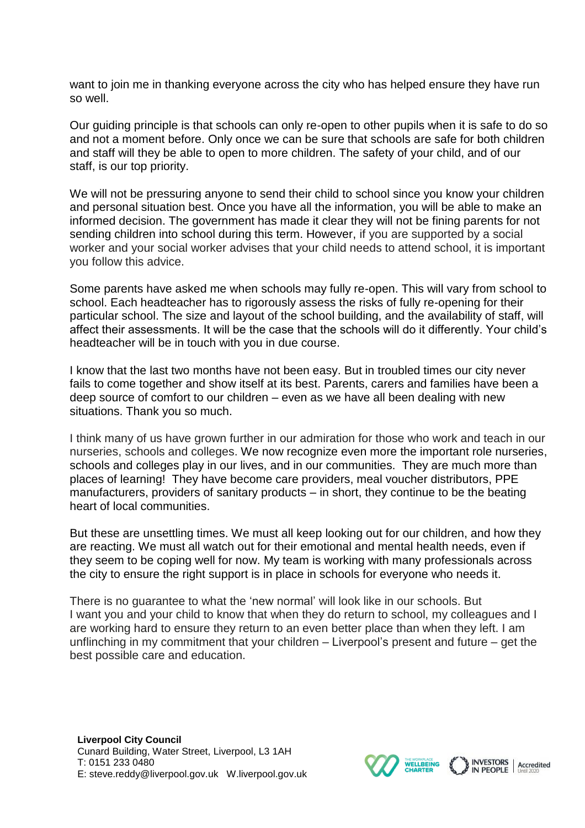want to join me in thanking everyone across the city who has helped ensure they have run so well.

Our guiding principle is that schools can only re-open to other pupils when it is safe to do so and not a moment before. Only once we can be sure that schools are safe for both children and staff will they be able to open to more children. The safety of your child, and of our staff, is our top priority.

We will not be pressuring anyone to send their child to school since you know your children and personal situation best. Once you have all the information, you will be able to make an informed decision. The government has made it clear they will not be fining parents for not sending children into school during this term. However, if you are supported by a social worker and your social worker advises that your child needs to attend school, it is important you follow this advice.

Some parents have asked me when schools may fully re-open. This will vary from school to school. Each headteacher has to rigorously assess the risks of fully re-opening for their particular school. The size and layout of the school building, and the availability of staff, will affect their assessments. It will be the case that the schools will do it differently. Your child's headteacher will be in touch with you in due course.

I know that the last two months have not been easy. But in troubled times our city never fails to come together and show itself at its best. Parents, carers and families have been a deep source of comfort to our children – even as we have all been dealing with new situations. Thank you so much.

I think many of us have grown further in our admiration for those who work and teach in our nurseries, schools and colleges. We now recognize even more the important role nurseries, schools and colleges play in our lives, and in our communities. They are much more than places of learning! They have become care providers, meal voucher distributors, PPE manufacturers, providers of sanitary products – in short, they continue to be the beating heart of local communities.

But these are unsettling times. We must all keep looking out for our children, and how they are reacting. We must all watch out for their emotional and mental health needs, even if they seem to be coping well for now. My team is working with many professionals across the city to ensure the right support is in place in schools for everyone who needs it.

There is no guarantee to what the 'new normal' will look like in our schools. But I want you and your child to know that when they do return to school, my colleagues and I are working hard to ensure they return to an even better place than when they left. I am unflinching in my commitment that your children – Liverpool's present and future – get the best possible care and education.

INVESTORS<br>IN PEOPLE

Accredited

**WELLBEING**<br>CHARTER